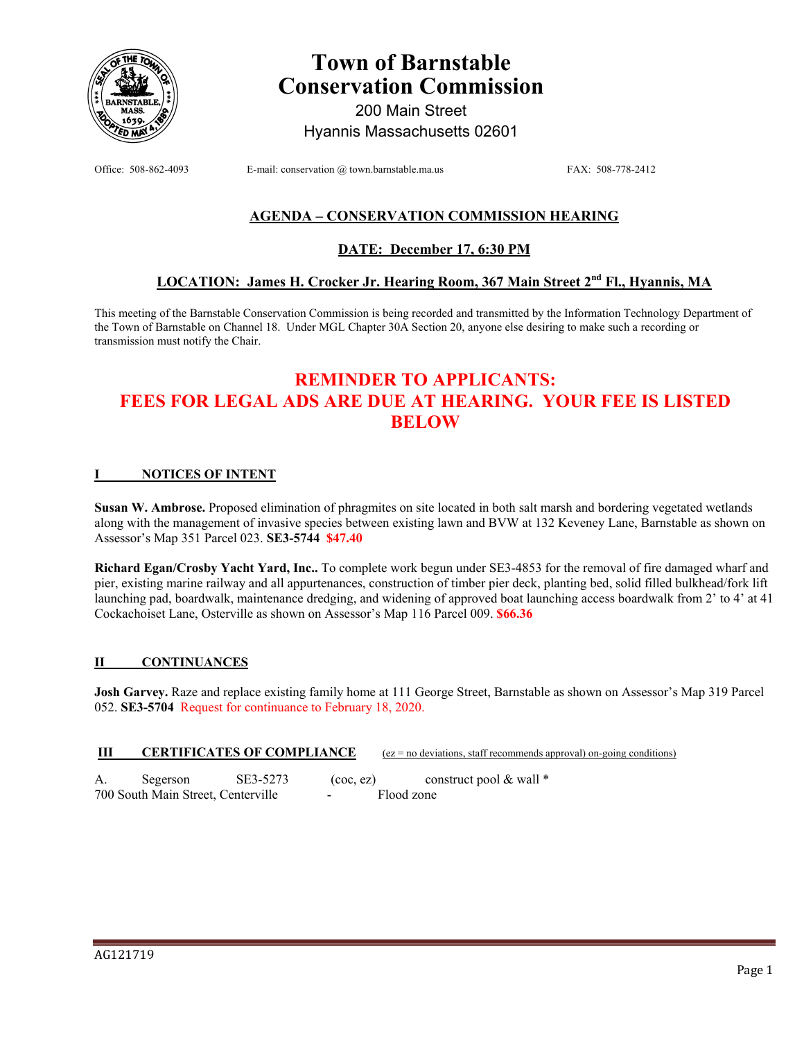

# **Town of Barnstable Conservation Commission**

200 Main Street Hyannis Massachusetts 02601

Office: 508-862-4093 E-mail: conservation @ town.barnstable.ma.us FAX: 508-778-2412

## **AGENDA – CONSERVATION COMMISSION HEARING**

# **DATE: December 17, 6:30 PM**

# **LOCATION: James H. Crocker Jr. Hearing Room, 367 Main Street 2nd Fl., Hyannis, MA**

This meeting of the Barnstable Conservation Commission is being recorded and transmitted by the Information Technology Department of the Town of Barnstable on Channel 18. Under MGL Chapter 30A Section 20, anyone else desiring to make such a recording or transmission must notify the Chair.

# **REMINDER TO APPLICANTS: FEES FOR LEGAL ADS ARE DUE AT HEARING. YOUR FEE IS LISTED BELOW**

#### **I NOTICES OF INTENT**

**Susan W. Ambrose.** Proposed elimination of phragmites on site located in both salt marsh and bordering vegetated wetlands along with the management of invasive species between existing lawn and BVW at 132 Keveney Lane, Barnstable as shown on Assessor's Map 351 Parcel 023. **SE3-5744 \$47.40** 

**Richard Egan/Crosby Yacht Yard, Inc..** To complete work begun under SE3-4853 for the removal of fire damaged wharf and pier, existing marine railway and all appurtenances, construction of timber pier deck, planting bed, solid filled bulkhead/fork lift launching pad, boardwalk, maintenance dredging, and widening of approved boat launching access boardwalk from 2' to 4' at 41 Cockachoiset Lane, Osterville as shown on Assessor's Map 116 Parcel 009. **\$66.36** 

#### **II CONTINUANCES**

**Josh Garvey.** Raze and replace existing family home at 111 George Street, Barnstable as shown on Assessor's Map 319 Parcel 052. **SE3-5704** Request for continuance to February 18, 2020.

#### **III** CERTIFICATES OF COMPLIANCE (ez = no deviations, staff recommends approval) on-going conditions)

A. Segerson SE3-5273 (coc, ez) construct pool & wall \* 700 South Main Street, Centerville - Flood zone